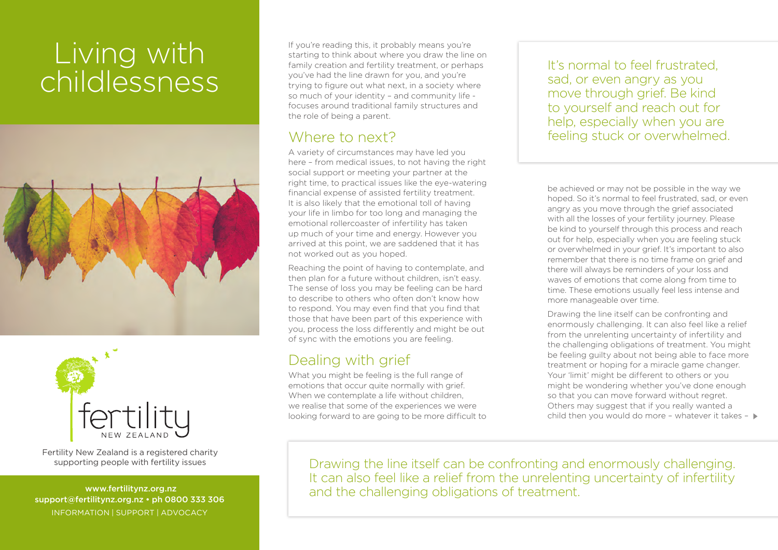## Living with childlessness





Fertility New Zealand is a registered charity supporting people with fertility issues

 www.fertilitynz.org.nz support@fertilitynz.org.nz • ph 0800 333 306 INFORMATION | SUPPORT | ADVOCACY

If you're reading this, it probably means you're starting to think about where you draw the line on family creation and fertility treatment, or perhaps you've had the line drawn for you, and you're trying to figure out what next, in a society where so much of your identity – and community life focuses around traditional family structures and the role of being a parent.

## Where to next?

A variety of circumstances may have led you here – from medical issues, to not having the right social support or meeting your partner at the right time, to practical issues like the eye-watering financial expense of assisted fertility treatment. It is also likely that the emotional toll of having your life in limbo for too long and managing the emotional rollercoaster of infertility has taken up much of your time and energy. However you arrived at this point, we are saddened that it has not worked out as you hoped.

Reaching the point of having to contemplate, and then plan for a future without children, isn't easy. The sense of loss you may be feeling can be hard to describe to others who often don't know how to respond. You may even find that you find that those that have been part of this experience with you, process the loss differently and might be out of sync with the emotions you are feeling.

## Dealing with grief

What you might be feeling is the full range of emotions that occur quite normally with grief. When we contemplate a life without children, we realise that some of the experiences we were looking forward to are going to be more difficult to It's normal to feel frustrated. sad, or even angry as you move through grief. Be kind to yourself and reach out for help, especially when you are feeling stuck or overwhelmed.

be achieved or may not be possible in the way we hoped. So it's normal to feel frustrated, sad, or even angry as you move through the grief associated with all the losses of your fertility journey. Please be kind to yourself through this process and reach out for help, especially when you are feeling stuck or overwhelmed in your grief. It's important to also remember that there is no time frame on grief and there will always be reminders of your loss and waves of emotions that come along from time to time. These emotions usually feel less intense and more manageable over time.

Drawing the line itself can be confronting and enormously challenging. It can also feel like a relief from the unrelenting uncertainty of infertility and the challenging obligations of treatment. You might be feeling guilty about not being able to face more treatment or hoping for a miracle game changer. Your 'limit' might be different to others or you might be wondering whether you've done enough so that you can move forward without regret. Others may suggest that if you really wanted a child then you would do more - whatever it takes -  $\blacktriangleright$ 

Drawing the line itself can be confronting and enormously challenging. It can also feel like a relief from the unrelenting uncertainty of infertility and the challenging obligations of treatment.